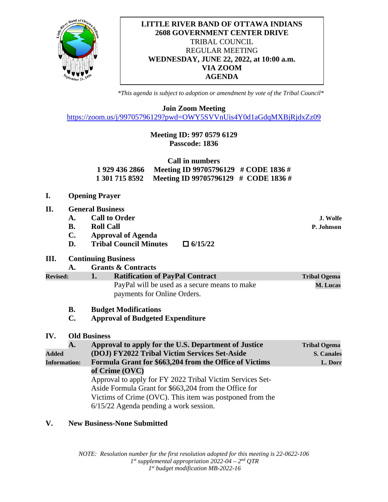

## **LITTLE RIVER BAND OF OTTAWA INDIANS 2608 GOVERNMENT CENTER DRIVE** TRIBAL COUNCIL REGULAR MEETING **WEDNESDAY, JUNE 22, 2022, at 10:00 a.m. VIA ZOOM AGENDA**

*\*This agenda is subject to adoption or amendment by vote of the Tribal Council\**

**Join Zoom Meeting**

<https://zoom.us/j/99705796129?pwd=OWY5SVVnUis4Y0d1aGdqMXBjRjdxZz09>

# **Meeting ID: 997 0579 6129 Passcode: 1836**

| Call in numbers |                                                     |  |  |  |
|-----------------|-----------------------------------------------------|--|--|--|
|                 | 1 929 436 2866 Meeting ID 99705796129 # CODE 1836 # |  |  |  |
|                 | 1 301 715 8592 Meeting ID 99705796129 # CODE 1836 # |  |  |  |

- **I. Opening Prayer**
- **II. General Business**
	- **A. Call to Order J. Wolfe**
	- **B. Roll Call P. Johnson**
	- **C. Approval of Agenda**
- **D. Tribal Council Minutes**  $\Box$  **6/15/22**<br>**III.** Continuing Business

### **III. Continuing Business**

**A. Grants & Contracts**

**Revised: 1.** Ratification of PayPal Contract Tribal Ogema PayPal will be used as a secure means to make **M. Lucas** payments for Online Orders.

- **B. Budget Modifications**
- **C. Approval of Budgeted Expenditure**

### **IV. Old Business**

|                     | A.                                            | Approval to apply for the U.S. Department of Justice      | <b>Tribal Ogema</b> |
|---------------------|-----------------------------------------------|-----------------------------------------------------------|---------------------|
| <b>Added</b>        | (DOJ) FY2022 Tribal Victim Services Set-Aside |                                                           | <b>S. Canales</b>   |
| <b>Information:</b> |                                               | Formula Grant for \$663,204 from the Office of Victims    | L. Dorr             |
|                     |                                               | of Crime $(OVC)$                                          |                     |
|                     |                                               | Approval to apply for FY 2022 Tribal Victim Services Set- |                     |
|                     |                                               | Aside Formula Grant for \$663,204 from the Office for     |                     |
|                     |                                               | Victims of Crime (OVC). This item was postponed from the  |                     |
|                     |                                               | $6/15/22$ Agenda pending a work session.                  |                     |

### **V. New Business-None Submitted**

*NOTE: Resolution number for the first resolution adopted for this meeting is 22-0622-106 1st supplemental appropriation 2022-04 – 2nd QTR 1st budget modification MB-2022-16*